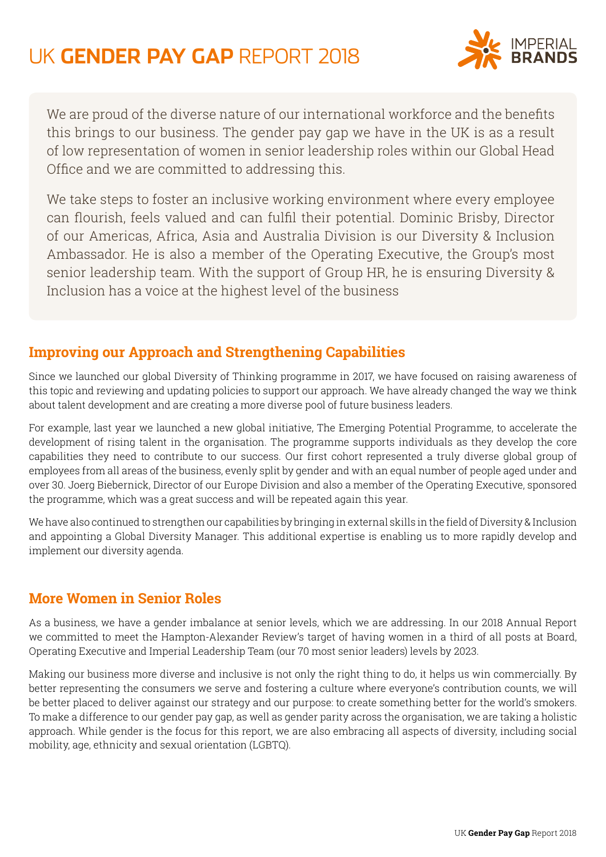

We are proud of the diverse nature of our international workforce and the benefits this brings to our business. The gender pay gap we have in the UK is as a result of low representation of women in senior leadership roles within our Global Head Office and we are committed to addressing this.

We take steps to foster an inclusive working environment where every employee can flourish, feels valued and can fulfil their potential. Dominic Brisby, Director of our Americas, Africa, Asia and Australia Division is our Diversity & Inclusion Ambassador. He is also a member of the Operating Executive, the Group's most senior leadership team. With the support of Group HR, he is ensuring Diversity & Inclusion has a voice at the highest level of the business

#### **Improving our Approach and Strengthening Capabilities**

Since we launched our global Diversity of Thinking programme in 2017, we have focused on raising awareness of this topic and reviewing and updating policies to support our approach. We have already changed the way we think about talent development and are creating a more diverse pool of future business leaders.

For example, last year we launched a new global initiative, The Emerging Potential Programme, to accelerate the development of rising talent in the organisation. The programme supports individuals as they develop the core capabilities they need to contribute to our success. Our first cohort represented a truly diverse global group of employees from all areas of the business, evenly split by gender and with an equal number of people aged under and over 30. Joerg Biebernick, Director of our Europe Division and also a member of the Operating Executive, sponsored the programme, which was a great success and will be repeated again this year.

We have also continued to strengthen our capabilities by bringing in external skills in the field of Diversity & Inclusion and appointing a Global Diversity Manager. This additional expertise is enabling us to more rapidly develop and implement our diversity agenda.

#### **More Women in Senior Roles**

As a business, we have a gender imbalance at senior levels, which we are addressing. In our 2018 Annual Report we committed to meet the Hampton-Alexander Review's target of having women in a third of all posts at Board, Operating Executive and Imperial Leadership Team (our 70 most senior leaders) levels by 2023.

Making our business more diverse and inclusive is not only the right thing to do, it helps us win commercially. By better representing the consumers we serve and fostering a culture where everyone's contribution counts, we will be better placed to deliver against our strategy and our purpose: to create something better for the world's smokers. To make a difference to our gender pay gap, as well as gender parity across the organisation, we are taking a holistic approach. While gender is the focus for this report, we are also embracing all aspects of diversity, including social mobility, age, ethnicity and sexual orientation (LGBTQ).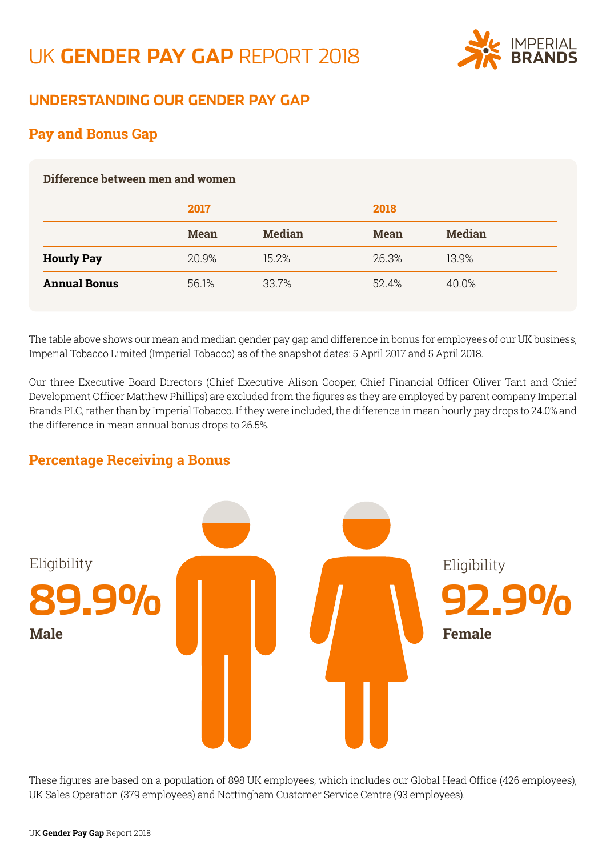

### **UNDERSTANDING OUR GENDER PAY GAP**

### **Pay and Bonus Gap**

#### **Difference between men and women**

|                     | 2017        |               | 2018        |               |
|---------------------|-------------|---------------|-------------|---------------|
|                     | <b>Mean</b> | <b>Median</b> | <b>Mean</b> | <b>Median</b> |
| <b>Hourly Pay</b>   | 20.9%       | 15.2%         | 26.3%       | 13.9%         |
| <b>Annual Bonus</b> | 56.1%       | 33.7%         | 52.4%       | 40.0%         |

The table above shows our mean and median gender pay gap and difference in bonus for employees of our UK business, Imperial Tobacco Limited (Imperial Tobacco) as of the snapshot dates: 5 April 2017 and 5 April 2018.

Our three Executive Board Directors (Chief Executive Alison Cooper, Chief Financial Officer Oliver Tant and Chief Development Officer Matthew Phillips) are excluded from the figures as they are employed by parent company Imperial Brands PLC, rather than by Imperial Tobacco. If they were included, the difference in mean hourly pay drops to 24.0% and the difference in mean annual bonus drops to 26.5%.

#### **Percentage Receiving a Bonus**



These figures are based on a population of 898 UK employees, which includes our Global Head Office (426 employees), UK Sales Operation (379 employees) and Nottingham Customer Service Centre (93 employees).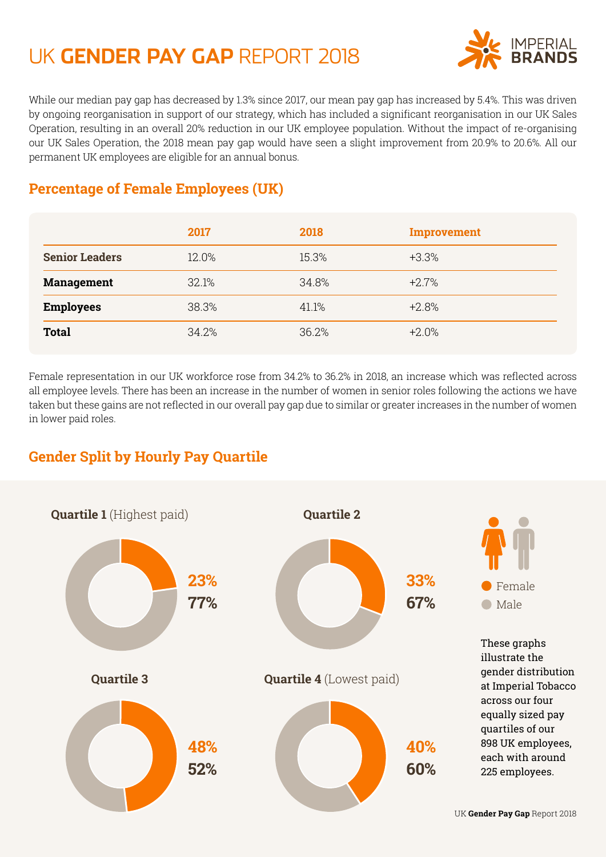

While our median pay gap has decreased by 1.3% since 2017, our mean pay gap has increased by 5.4%. This was driven by ongoing reorganisation in support of our strategy, which has included a significant reorganisation in our UK Sales Operation, resulting in an overall 20% reduction in our UK employee population. Without the impact of re-organising our UK Sales Operation, the 2018 mean pay gap would have seen a slight improvement from 20.9% to 20.6%. All our permanent UK employees are eligible for an annual bonus.

## **Percentage of Female Employees (UK)**

|                       | 2017  | 2018  | Improvement |
|-----------------------|-------|-------|-------------|
| <b>Senior Leaders</b> | 12.0% | 15.3% | $+3.3%$     |
| <b>Management</b>     | 32.1% | 34.8% | $+2.7%$     |
| <b>Employees</b>      | 38.3% | 41.1% | $+2.8%$     |
| <b>Total</b>          | 34.2% | 36.2% | $+2.0%$     |

Female representation in our UK workforce rose from 34.2% to 36.2% in 2018, an increase which was reflected across all employee levels. There has been an increase in the number of women in senior roles following the actions we have taken but these gains are not reflected in our overall pay gap due to similar or greater increases in the number of women in lower paid roles.

### **Gender Split by Hourly Pay Quartile**